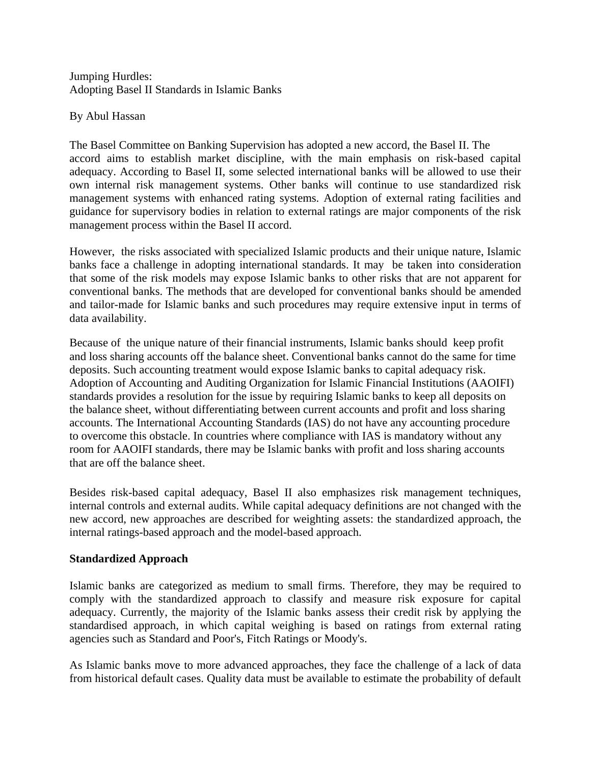Jumping Hurdles: Adopting Basel II Standards in Islamic Banks

By Abul Hassan

The Basel Committee on Banking Supervision has adopted a new accord, the Basel II. The accord aims to establish market discipline, with the main emphasis on risk-based capital adequacy. According to Basel II, some selected international banks will be allowed to use their own internal risk management systems. Other banks will continue to use standardized risk management systems with enhanced rating systems. Adoption of external rating facilities and guidance for supervisory bodies in relation to external ratings are major components of the risk management process within the Basel II accord.

However, the risks associated with specialized Islamic products and their unique nature, Islamic banks face a challenge in adopting international standards. It may be taken into consideration that some of the risk models may expose Islamic banks to other risks that are not apparent for conventional banks. The methods that are developed for conventional banks should be amended and tailor-made for Islamic banks and such procedures may require extensive input in terms of data availability.

Because of the unique nature of their financial instruments, Islamic banks should keep profit and loss sharing accounts off the balance sheet. Conventional banks cannot do the same for time deposits. Such accounting treatment would expose Islamic banks to capital adequacy risk. Adoption of Accounting and Auditing Organization for Islamic Financial Institutions (AAOIFI) standards provides a resolution for the issue by requiring Islamic banks to keep all deposits on the balance sheet, without differentiating between current accounts and profit and loss sharing accounts. The International Accounting Standards (IAS) do not have any accounting procedure to overcome this obstacle. In countries where compliance with IAS is mandatory without any room for AAOIFI standards, there may be Islamic banks with profit and loss sharing accounts that are off the balance sheet.

Besides risk-based capital adequacy, Basel II also emphasizes risk management techniques, internal controls and external audits. While capital adequacy definitions are not changed with the new accord, new approaches are described for weighting assets: the standardized approach, the internal ratings-based approach and the model-based approach.

## **Standardized Approach**

Islamic banks are categorized as medium to small firms. Therefore, they may be required to comply with the standardized approach to classify and measure risk exposure for capital adequacy. Currently, the majority of the Islamic banks assess their credit risk by applying the standardised approach, in which capital weighing is based on ratings from external rating agencies such as Standard and Poor's, Fitch Ratings or Moody's.

As Islamic banks move to more advanced approaches, they face the challenge of a lack of data from historical default cases. Quality data must be available to estimate the probability of default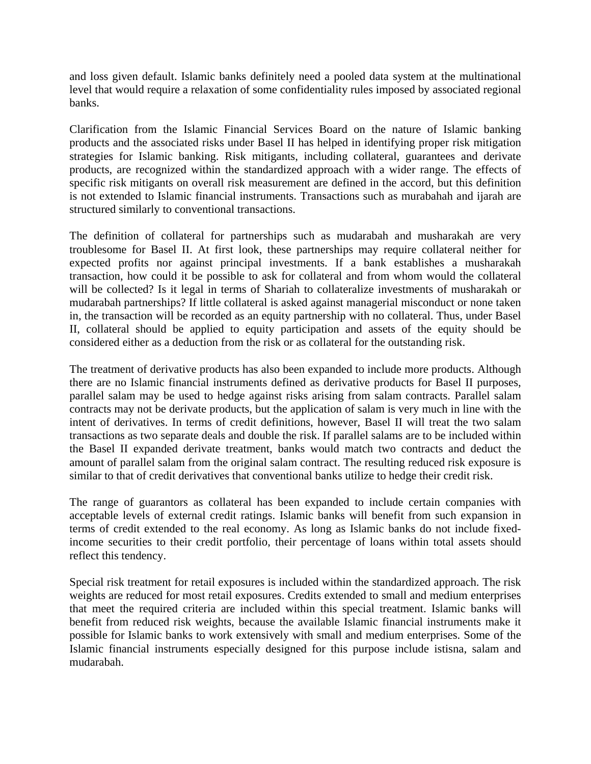and loss given default. Islamic banks definitely need a pooled data system at the multinational level that would require a relaxation of some confidentiality rules imposed by associated regional banks.

Clarification from the Islamic Financial Services Board on the nature of Islamic banking products and the associated risks under Basel II has helped in identifying proper risk mitigation strategies for Islamic banking. Risk mitigants, including collateral, guarantees and derivate products, are recognized within the standardized approach with a wider range. The effects of specific risk mitigants on overall risk measurement are defined in the accord, but this definition is not extended to Islamic financial instruments. Transactions such as murabahah and ijarah are structured similarly to conventional transactions.

The definition of collateral for partnerships such as mudarabah and musharakah are very troublesome for Basel II. At first look, these partnerships may require collateral neither for expected profits nor against principal investments. If a bank establishes a musharakah transaction, how could it be possible to ask for collateral and from whom would the collateral will be collected? Is it legal in terms of Shariah to collateralize investments of musharakah or mudarabah partnerships? If little collateral is asked against managerial misconduct or none taken in, the transaction will be recorded as an equity partnership with no collateral. Thus, under Basel II, collateral should be applied to equity participation and assets of the equity should be considered either as a deduction from the risk or as collateral for the outstanding risk.

The treatment of derivative products has also been expanded to include more products. Although there are no Islamic financial instruments defined as derivative products for Basel II purposes, parallel salam may be used to hedge against risks arising from salam contracts. Parallel salam contracts may not be derivate products, but the application of salam is very much in line with the intent of derivatives. In terms of credit definitions, however, Basel II will treat the two salam transactions as two separate deals and double the risk. If parallel salams are to be included within the Basel II expanded derivate treatment, banks would match two contracts and deduct the amount of parallel salam from the original salam contract. The resulting reduced risk exposure is similar to that of credit derivatives that conventional banks utilize to hedge their credit risk.

The range of guarantors as collateral has been expanded to include certain companies with acceptable levels of external credit ratings. Islamic banks will benefit from such expansion in terms of credit extended to the real economy. As long as Islamic banks do not include fixedincome securities to their credit portfolio, their percentage of loans within total assets should reflect this tendency.

Special risk treatment for retail exposures is included within the standardized approach. The risk weights are reduced for most retail exposures. Credits extended to small and medium enterprises that meet the required criteria are included within this special treatment. Islamic banks will benefit from reduced risk weights, because the available Islamic financial instruments make it possible for Islamic banks to work extensively with small and medium enterprises. Some of the Islamic financial instruments especially designed for this purpose include istisna, salam and mudarabah.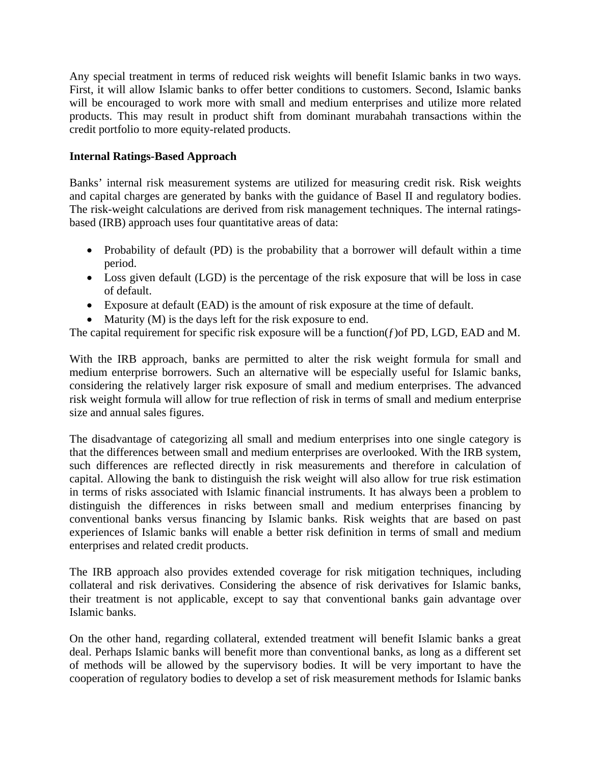Any special treatment in terms of reduced risk weights will benefit Islamic banks in two ways. First, it will allow Islamic banks to offer better conditions to customers. Second, Islamic banks will be encouraged to work more with small and medium enterprises and utilize more related products. This may result in product shift from dominant murabahah transactions within the credit portfolio to more equity-related products.

## **Internal Ratings-Based Approach**

Banks' internal risk measurement systems are utilized for measuring credit risk. Risk weights and capital charges are generated by banks with the guidance of Basel II and regulatory bodies. The risk-weight calculations are derived from risk management techniques. The internal ratingsbased (IRB) approach uses four quantitative areas of data:

- Probability of default (PD) is the probability that a borrower will default within a time period.
- Loss given default (LGD) is the percentage of the risk exposure that will be loss in case of default.
- Exposure at default (EAD) is the amount of risk exposure at the time of default.
- Maturity (M) is the days left for the risk exposure to end.

The capital requirement for specific risk exposure will be a function( $f$ ) of PD, LGD, EAD and M.

With the IRB approach, banks are permitted to alter the risk weight formula for small and medium enterprise borrowers. Such an alternative will be especially useful for Islamic banks, considering the relatively larger risk exposure of small and medium enterprises. The advanced risk weight formula will allow for true reflection of risk in terms of small and medium enterprise size and annual sales figures.

The disadvantage of categorizing all small and medium enterprises into one single category is that the differences between small and medium enterprises are overlooked. With the IRB system, such differences are reflected directly in risk measurements and therefore in calculation of capital. Allowing the bank to distinguish the risk weight will also allow for true risk estimation in terms of risks associated with Islamic financial instruments. It has always been a problem to distinguish the differences in risks between small and medium enterprises financing by conventional banks versus financing by Islamic banks. Risk weights that are based on past experiences of Islamic banks will enable a better risk definition in terms of small and medium enterprises and related credit products.

The IRB approach also provides extended coverage for risk mitigation techniques, including collateral and risk derivatives. Considering the absence of risk derivatives for Islamic banks, their treatment is not applicable, except to say that conventional banks gain advantage over Islamic banks.

On the other hand, regarding collateral, extended treatment will benefit Islamic banks a great deal. Perhaps Islamic banks will benefit more than conventional banks, as long as a different set of methods will be allowed by the supervisory bodies. It will be very important to have the cooperation of regulatory bodies to develop a set of risk measurement methods for Islamic banks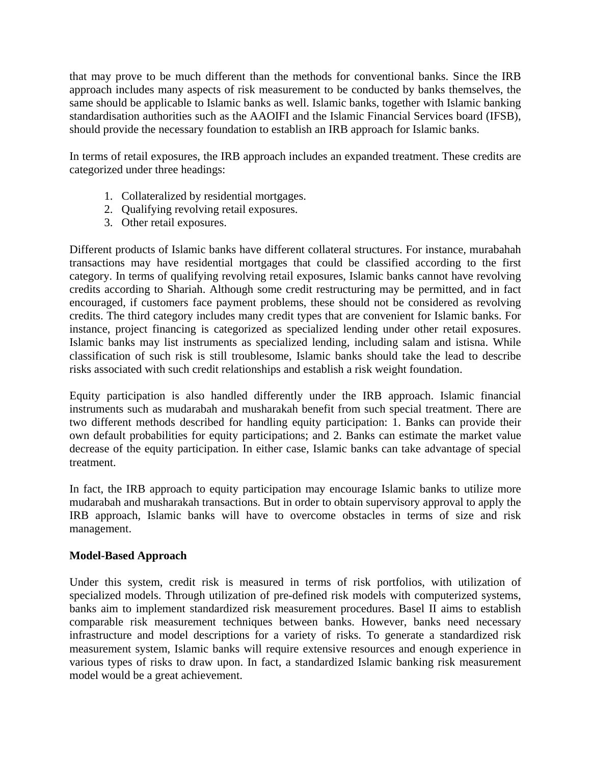that may prove to be much different than the methods for conventional banks. Since the IRB approach includes many aspects of risk measurement to be conducted by banks themselves, the same should be applicable to Islamic banks as well. Islamic banks, together with Islamic banking standardisation authorities such as the AAOIFI and the Islamic Financial Services board (IFSB), should provide the necessary foundation to establish an IRB approach for Islamic banks.

In terms of retail exposures, the IRB approach includes an expanded treatment. These credits are categorized under three headings:

- 1. Collateralized by residential mortgages.
- 2. Qualifying revolving retail exposures.
- 3. Other retail exposures.

Different products of Islamic banks have different collateral structures. For instance, murabahah transactions may have residential mortgages that could be classified according to the first category. In terms of qualifying revolving retail exposures, Islamic banks cannot have revolving credits according to Shariah. Although some credit restructuring may be permitted, and in fact encouraged, if customers face payment problems, these should not be considered as revolving credits. The third category includes many credit types that are convenient for Islamic banks. For instance, project financing is categorized as specialized lending under other retail exposures. Islamic banks may list instruments as specialized lending, including salam and istisna. While classification of such risk is still troublesome, Islamic banks should take the lead to describe risks associated with such credit relationships and establish a risk weight foundation.

Equity participation is also handled differently under the IRB approach. Islamic financial instruments such as mudarabah and musharakah benefit from such special treatment. There are two different methods described for handling equity participation: 1. Banks can provide their own default probabilities for equity participations; and 2. Banks can estimate the market value decrease of the equity participation. In either case, Islamic banks can take advantage of special treatment.

In fact, the IRB approach to equity participation may encourage Islamic banks to utilize more mudarabah and musharakah transactions. But in order to obtain supervisory approval to apply the IRB approach, Islamic banks will have to overcome obstacles in terms of size and risk management.

## **Model-Based Approach**

Under this system, credit risk is measured in terms of risk portfolios, with utilization of specialized models. Through utilization of pre-defined risk models with computerized systems, banks aim to implement standardized risk measurement procedures. Basel II aims to establish comparable risk measurement techniques between banks. However, banks need necessary infrastructure and model descriptions for a variety of risks. To generate a standardized risk measurement system, Islamic banks will require extensive resources and enough experience in various types of risks to draw upon. In fact, a standardized Islamic banking risk measurement model would be a great achievement.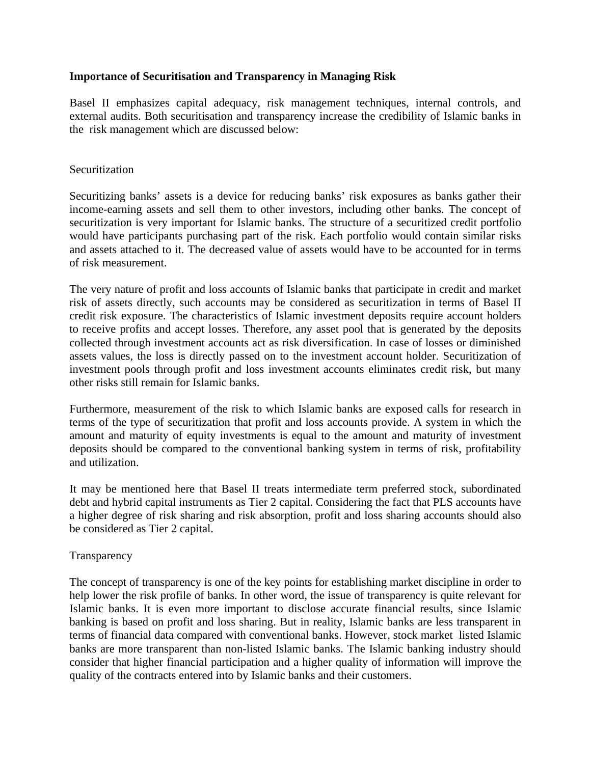#### **Importance of Securitisation and Transparency in Managing Risk**

Basel II emphasizes capital adequacy, risk management techniques, internal controls, and external audits. Both securitisation and transparency increase the credibility of Islamic banks in the risk management which are discussed below:

### Securitization

Securitizing banks' assets is a device for reducing banks' risk exposures as banks gather their income-earning assets and sell them to other investors, including other banks. The concept of securitization is very important for Islamic banks. The structure of a securitized credit portfolio would have participants purchasing part of the risk. Each portfolio would contain similar risks and assets attached to it. The decreased value of assets would have to be accounted for in terms of risk measurement.

The very nature of profit and loss accounts of Islamic banks that participate in credit and market risk of assets directly, such accounts may be considered as securitization in terms of Basel II credit risk exposure. The characteristics of Islamic investment deposits require account holders to receive profits and accept losses. Therefore, any asset pool that is generated by the deposits collected through investment accounts act as risk diversification. In case of losses or diminished assets values, the loss is directly passed on to the investment account holder. Securitization of investment pools through profit and loss investment accounts eliminates credit risk, but many other risks still remain for Islamic banks.

Furthermore, measurement of the risk to which Islamic banks are exposed calls for research in terms of the type of securitization that profit and loss accounts provide. A system in which the amount and maturity of equity investments is equal to the amount and maturity of investment deposits should be compared to the conventional banking system in terms of risk, profitability and utilization.

It may be mentioned here that Basel II treats intermediate term preferred stock, subordinated debt and hybrid capital instruments as Tier 2 capital. Considering the fact that PLS accounts have a higher degree of risk sharing and risk absorption, profit and loss sharing accounts should also be considered as Tier 2 capital.

#### Transparency

The concept of transparency is one of the key points for establishing market discipline in order to help lower the risk profile of banks. In other word, the issue of transparency is quite relevant for Islamic banks. It is even more important to disclose accurate financial results, since Islamic banking is based on profit and loss sharing. But in reality, Islamic banks are less transparent in terms of financial data compared with conventional banks. However, stock market listed Islamic banks are more transparent than non-listed Islamic banks. The Islamic banking industry should consider that higher financial participation and a higher quality of information will improve the quality of the contracts entered into by Islamic banks and their customers.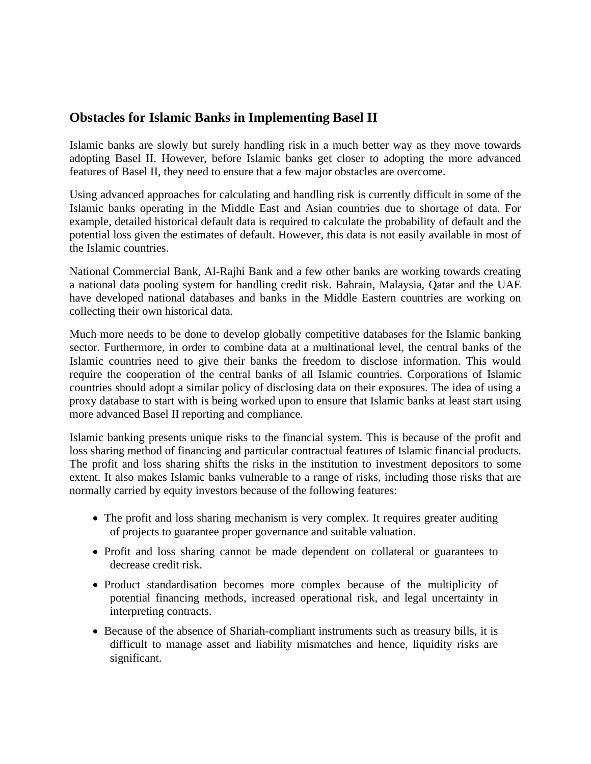# **Obstacles for Islamic Banks in Implementing Basel II**

Islamic banks are slowly but surely handling risk in a much better way as they move towards adopting Basel II. However, before Islamic banks get closer to adopting the more advanced features of Basel II, they need to ensure that a few major obstacles are overcome.

Using advanced approaches for calculating and handling risk is currently difficult in some of the Islamic banks operating in the Middle East and Asian countries due to shortage of data. For example, detailed historical default data is required to calculate the probability of default and the potential loss given the estimates of default. However, this data is not easily available in most of the Islamic countries.

National Commercial Bank, Al-Rajhi Bank and a few other banks are working towards creating a national data pooling system for handling credit risk. Bahrain, Malaysia, Qatar and the UAE have developed national databases and banks in the Middle Eastern countries are working on collecting their own historical data.

Much more needs to be done to develop globally competitive databases for the Islamic banking sector. Furthermore, in order to combine data at a multinational level, the central banks of the Islamic countries need to give their banks the freedom to disclose information. This would require the cooperation of the central banks of all Islamic countries. Corporations of Islamic countries should adopt a similar policy of disclosing data on their exposures. The idea of using a proxy database to start with is being worked upon to ensure that Islamic banks at least start using more advanced Basel II reporting and compliance.

Islamic banking presents unique risks to the financial system. This is because of the profit and loss sharing method of financing and particular contractual features of Islamic financial products. The profit and loss sharing shifts the risks in the institution to investment depositors to some extent. It also makes Islamic banks vulnerable to a range of risks, including those risks that are normally carried by equity investors because of the following features:

- The profit and loss sharing mechanism is very complex. It requires greater auditing of projects to guarantee proper governance and suitable valuation.
- Profit and loss sharing cannot be made dependent on collateral or guarantees to decrease credit risk.
- Product standardisation becomes more complex because of the multiplicity of potential financing methods, increased operational risk, and legal uncertainty in interpreting contracts.
- Because of the absence of Shariah-compliant instruments such as treasury bills, it is difficult to manage asset and liability mismatches and hence, liquidity risks are significant.